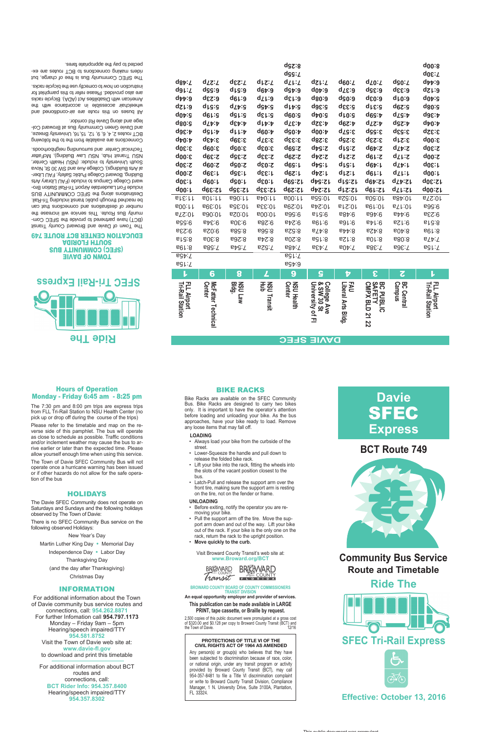Visit Broward County Transit's web site at: **www.Broward.org/BCT**



#### **BROWARD COUNTY BOARD OF COUNTY COMMISSIONERS TRANSIT DIVISION**

2,500 copies of this public document were promulgated at a gross cost of \$320.00 and \$0.128 per copy to Broward County Transit (BCT) and the Town of Davie. 12/16

**An equal opportunity employer and provider of services.**

#### **This publication can be made available in LARGE PRINT, tape cassette, or Braille by request.**

- • Always load your bike from the curbside of the street.
- Lower-Squeeze the handle and pull down to
- release the folded bike rack. Lift your bike into the rack, fitting the wheels into the slots of the vacant position closest to the bus.
- • Latch-Pull and release the support arm over the front tire, making sure the support arm is resting on the tire, not on the fender or frame.
- **Unloading**
- • Before exiting, notify the operator you are removing your bike.
- Pull the support arm off the tire. Move the sup-

### BIKE RACKS

Bike Racks are available on the SFEC Community Bus. Bike Racks are designed to carry two bikes only. It is important to have the operator's attention before loading and unloading your bike. As the bus approaches, have your bike ready to load. Remove any loose items that may fall off.

#### **Loading**

port arm down and out of the way. Lift your bike out of the rack. If your bike is the only one on the rack, return the rack to the upright position.

Move quickly to the curb.

#### Hours of Operation Monday - Friday 6:45 am - 8:25 pm

The 7:30 pm and 8:00 pm trips are express trips from FLL Tri-Rail Station to NSU Health Center (no pick up or drop off during the course of the trips) Please refer to the timetable and map on the reverse side of this pamphlet. The bus will operate as close to schedule as possible. Traffic conditions and/or inclement weather may cause the bus to arrive earlier or later than the expected time. Please allow yourself enough time when using this service. The Town of Davie SFEC Community Bus will not

operate once a hurricane warning has been issued or if other hazards do not allow for the safe operation of the bus

### **HOLIDAYS**

The Davie SFEC Community does not operate on Saturdays and Sundays and the following holidays observed by The Town of Davie:

There is no SFEC Community Bus service on the

following observed Holidays:

New Year's Day Martin Luther King Day • Memorial Day Independence Day • Labor Day Thanksgiving Day (and the day after Thanksgiving) Christmas Day

#### Information

For additional information about the Town of Davie community bus service routes and connections, call: **954.262.8871** For further Infomation call **954.797.1173** Monday – Friday 9am – 5pm Hearing/speech impaired/TTY **954.581.8752** Visit the Town of Davie web site at: **www.davie-fl.gov** to download and print this timetable

For additional information about BCT routes and connections, call: **BCT Rider Info: 954.357.8400** Hearing/speech impaired/TTY **954.357.8302**



#### **TOMN OF DAVIE SFEC) COMMUNITY BUS AGIRIOTH HTUOS** EDUCATION CENTER BCT ROUTE 749

## **Effective: October 13, 2016**

# **Davie SFEC Express**



# **Ride The**

**Community Bus Service Route and Timetable**

#### **PROTECTIONS OF TITLE VI OF THE CIVIL RIGHTS ACT OF 1964 AS AMENDED**

All buse on this route are air-conditional and wheelchair accessible in accordance with the American with Disabilities Act (ADA). Bicycle racks are also provided. Please refer to this pamphlet for instruction on how to correctly use the bicycle racks.

> Any person(s) or group(s) who believes that they have been subjected to discrimination because of race, color, or national origin, under any transit program or activity provided by Broward County Transit (BCT), may call 954-357-8481 to file a Title VI discrimination complaint or write to Broward County Transit Division, Compliance Manager, 1 N. University Drive, Suite 3100A, Plantation, FL 33324.

## **BCT Route 749**



|                                        |                            |                    |                         | dgz:8                                      |                           |                    |                     |                                    | q00:8                           |
|----------------------------------------|----------------------------|--------------------|-------------------------|--------------------------------------------|---------------------------|--------------------|---------------------|------------------------------------|---------------------------------|
|                                        |                            |                    |                         | dgg:Z                                      |                           |                    |                     |                                    | q08:T                           |
| $dg\psi:Z$                             | $d\mathcal{Z}:\mathcal{L}$ | q&s:T              | d <sub>LZ:</sub>        | dz <sub>k</sub> :z                         | $dz$ :1                   | d60:Z              | $d_{20}$ : $\chi$   | dg0:Z                              | $d_{\mathcal{V}}$ :9            |
| dgL:Z                                  | dgg:9                      | drs:9              | d6t:9                   | dg <sub>t</sub> :9                         | d0b:9                     | d7£:a              | e:3gb               | G:33p                              | qst:a                           |
| $d_{\nu\nu}$ :9                        | dcz:9                      | d6L:9              | dzr:9                   | q5:13p                                     | d80:9                     | dg0:9              | dε0:9               | d <sub>l0:9</sub>                  | dot:s                           |
| $dz$ :9                                | d <sub>l</sub> g:g         | d <sub>Z</sub> t:s | dg <sub>t</sub> :g      | $d$ <sub><math>\uparrow</math></sub> ; $c$ | 5:36p                     | 5:33p              | ars:a               | $q_{529}$                          | as0:8                           |
| $d0b$ :s                               | d6L:S                      | asus               | dcr:3                   | d60:9                                      | dp0:g                     | d <sub>l0</sub> :g | $dg: \mathcal{V}$   | d <sub>Z</sub> g: <sub>b</sub>     | 4:36p                           |
| d80:S                                  | d <sub>Z</sub> t:          | dep:p              | dlp:p                   | ϥΤε:Α                                      | 4:32p                     | $d6Z:\mathcal{V}$  | d <sub>Z</sub> z:   | dgz:p                              | $dp0$ :                         |
| d9&:4                                  | dg <sub>l:t</sub>          | dLL:b              | d60: b                  | dg0:b                                      | d00: b                    | 3:57p              | 3:55p               | 3:53p                              | 3:32p                           |
| dp0: p                                 | 3:43p                      | 3:39p              | α\δ:ε                   | 3:33p                                      | 3:28p                     | 3:2gb              | <b>a:23p</b>        | ars:8                              | 3:00p                           |
| 3:30b                                  | 3:09p                      | 3:02p              | 3:03p                   | ds:z                                       | 2:54p                     | 2:51p              | d6b:Z               | qTA:S                              | 2:30p                           |
| $q00:\mathcal{E}$                      | 2:39p                      | 2:35p              | 2:33p                   | d6z:z                                      | q <sup>bs:2</sup>         | drz:z              | d6L:Z               | dZr:S                              | $d$ <sub>00</sub> : $\zeta$     |
| 2:30p                                  | d60:Z                      | 2:02b              | 2:03p                   | d69:L                                      | dtg:r                     | d <sub>k</sub> g:  | d6b:V               | dZp:r                              | 4:30p                           |
| $d$ <sub>00</sub> : $\zeta$            | 1:39p                      | 1:39p              | dcc:r                   | d6Z: L                                     | $d\nabla$ :               | drz:r              | d6L:L               | dzr:r                              | d00:                            |
| $d0\epsilon$ :1                        | d60: L                     | dg0: L             | q&0:r                   | 12:20p                                     | dbe:Sh                    | drs:St             | d6b:ZL              | dZP:21                             | 12:30p                          |
| $d$ 00: $\mu$                          | 42:39p                     | 12:35p             | <b>42:33p</b>           | d6Z:ZL                                     | d42:21                    | drz:21             | d6L:ZL              | dTr:Sr                             | d00:Z                           |
| st&:tt                                 | BOL:11                     | B00:11             | BAD:LL                  | 600:                                       | 10:55a                    | 10:52a             | 10:50a              | 10:48a                             | 0.521                           |
| 600:                                   | 10:39a                     | 10:35a             | 10:33a                  | 10:29a                                     | 10:24a                    | 512.01             | B81:01              | BT1:01                             | 8:56a                           |
| 0.521                                  | 10:09a                     | 10:059             | 600:0                   | 8:56a                                      | 0:519                     | 84:6               | 89t:6               | 8.449                              | 9:23a                           |
| 8:229                                  | 8:349                      | 9:308              | <b>9:28a</b>            | 6:549                                      | 9:109                     | 9!36               | $B+1.6$             | 9:159                              | stō:8                           |
| 9:23a                                  | <b>9:02a</b>               | <b>686:8</b>       | <b>635.6a</b>           | <b>8:52a</b>                               | $B\bar{D}$ :8             | 8:449              | 8:42a               | 604:8                              | 601.8                           |
| stā:8                                  | 605:8                      | <b>8:26a</b>       | 8:24a                   | <b>8:20a</b>                               | 6:158                     | s:12a              | 601:8               | <b>680:8</b>                       | BTA:T                           |
| 6:199                                  | F86:7                      | <b>BAG:T</b>       | FSS:T                   | B84:7                                      | F.A3a                     | B0A:T              | B8E:T               | FOS:T                              | F:15a                           |
| FGA:7                                  |                            |                    |                         | F:15a                                      |                           |                    |                     |                                    |                                 |
| F:15a                                  |                            |                    |                         | 6:45a                                      |                           |                    |                     |                                    |                                 |
| $\mathbf{L}$                           | 6                          | 8                  | $\overline{\mathbf{L}}$ | 9                                          | $\mathbf{S}$              | Þ                  | E                   | $\overline{\mathbf{c}}$            | $\mathbf{r}$                    |
|                                        |                            | Bldg.              | Hub                     |                                            | College Ave<br>& SW 30 St | FAU                | BC PUBLIC<br>SAFETY |                                    | FLL Airport<br>Tri-Rail Station |
| <b>Tri-Rail Station</b><br>FLL Airport | <b>Center</b>              | <b>MSU Law</b>     | <b>NSU Transit</b>      | <b>NSU Health</b><br><b>Center</b>         |                           |                    |                     | <b>Campus</b><br><b>BC Central</b> |                                 |
|                                        |                            |                    |                         |                                            |                           |                    |                     |                                    |                                 |
|                                        |                            |                    |                         |                                            |                           |                    |                     |                                    |                                 |
|                                        | McFatter Technical         |                    |                         |                                            | University of Fl          | Liberal Arts Bldg. | CMPX BLD 21 22      |                                    |                                 |
|                                        |                            |                    |                         |                                            |                           |                    |                     |                                    |                                 |

**DAVIE SFEC**

The Town of Davie and Broward County Transit - (BCT) have partnered to provide the SFEC Com munity Bus Route. This service will increase the number of destinations and connections that can be reached through public transit including Tri-Rail. Destinations along the SFEC COMMUNITY BUS include Fort Lauderdale Airport Tri-Rail Station Broward College Canuari of and the CPAU Library Arts Building, Boward College Public Safety, FAU Liberavov, 30 Sw and College Ave and SW 30 St, Nova South University to include: (NSU Health Center, NCFatter Hub, NSU Law Building), McFatter Technical Center and surrounding neighborhoods.

Connections are available from the to the following BCT routes 2, 4, 6, 9, 12, 15, 16, University Breeze, sug Davie Green Community Bus at Broward College and along Davie Rd corridor.

The SFEC Community Bus is free of charge, but riders making connections to BCT routes are expected to pay the appropriate fares.